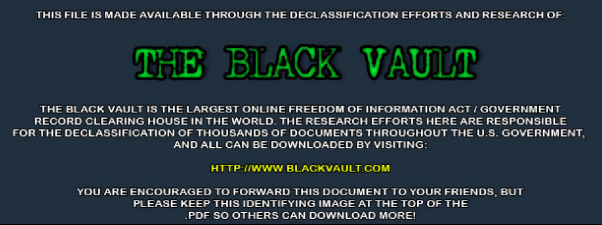THIS FILE IS MADE AVAILABLE THROUGH THE DECLASSIFICATION EFFORTS AND RESEARCH OF:



THE BLACK VAULT IS THE LARGEST ONLINE FREEDOM OF INFORMATION ACT / GOVERNMENT RECORD CLEARING HOUSE IN THE WORLD. THE RESEARCH EFFORTS HERE ARE RESPONSIBLE FOR THE DECLASSIFICATION OF THOUSANDS OF DOCUMENTS THROUGHOUT THE U.S. GOVERNMENT, AND ALL CAN BE DOWNLOADED BY VISITING:

**HTTP://WWW.BLACKVAULT.COM** 

YOU ARE ENCOURAGED TO FORWARD THIS DOCUMENT TO YOUR FRIENDS, BUT PLEASE KEEP THIS IDENTIFYING IMAGE AT THE TOP OF THE PDF SO OTHERS CAN DOWNLOAD MORE!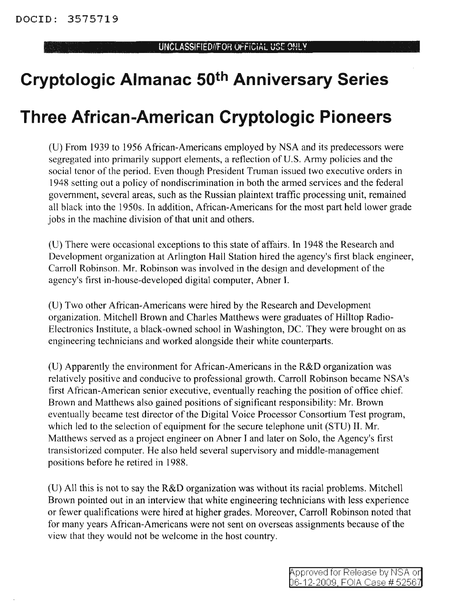## **Cryptologic Almanac 50th Anniversary Series**

## **Three African-American Cryptologic Pioneers**

(V) From 1939 to 1956 African-Americans employed by NSA and its predecessors were segregated into primarily support elements, a reflection of U.S. Army policies and the social tenor of the period. Even though President Truman issued two executive orders in 1948 setting out a policy of nondiscrimination in both the armed services and the federal government, several areas, such as the Russian plaintext traffic processing unit, remained all black into the 19505. In addition, African-Americans for the most part held lower grade jobs in the machine division of that unit and others.

(V) There were occasional exceptions to this state of affairs. In 1948 the Research and Development organization at Arlington Hall Station hired the agency's first black engineer, Carroll Robinson. Mr. Robinson was involved in the design and development of the agency's first in-house-developed digital computer, Abner I.

(U) Two other African-Americans were hired by the Research and Development organization. Mitchell Brown and Charles Matthews were graduates of Hilltop Radio-Electronics Institute, a black-owned school in Washington, DC. They were brought on as engineering technicians and worked alongside their white counterparts.

(U) Apparently the environment for African-Americans in the  $R&D$  organization was relatively positive and conducive to professional growth. Carroll Robinson became NSA's first African-American senior executive, eventually reaching the position of office chief. Brown and Matthews also gained positions of significant responsibility: Mr. Brown eventually became test director of the Digital Voice Processor Consortium Test program, which led to the selection of equipment for the secure telephone unit (STV) II. Mr. Matthews served as a project engineer on Abner I and later on Solo, the Agency's first transistorized computer. He also held several supervisory and middle-management positions before he retired in 1988.

(U) All this is not to say the R&D organization was without its racial problems. Mitchell Brown pointed out in an interview that white engineering technicians with less experience or fewer qualifications were hired at higher grades. Moreover, Carroll Robinson noted that for many years African-Americans were not sent on overseas assignments because of the view that they would not be welcome in the host country.